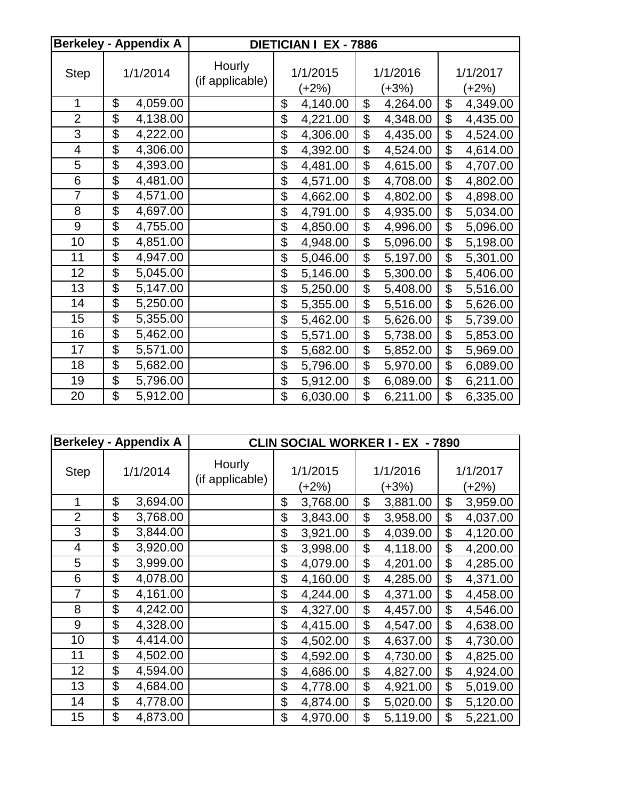|                | <b>Berkeley - Appendix A</b> |          | DIETICIAN I EX - 7886     |                           |          |                           |          |                     |
|----------------|------------------------------|----------|---------------------------|---------------------------|----------|---------------------------|----------|---------------------|
| <b>Step</b>    | 1/1/2014                     |          | Hourly<br>(if applicable) | 1/1/2015<br>(+2%)         |          | 1/1/2016<br>$(+3%)$       |          | 1/1/2017<br>$(+2%)$ |
| 1              | \$                           | 4,059.00 |                           | \$                        | 4,140.00 | \$                        | 4,264.00 | \$<br>4,349.00      |
| $\overline{2}$ | $\overline{\mathfrak{s}}$    | 4,138.00 |                           | $\overline{\mathfrak{s}}$ | 4,221.00 | \$                        | 4,348.00 | \$<br>4,435.00      |
| 3              | $\overline{\$}$              | 4,222.00 |                           | \$                        | 4,306.00 | $\overline{\mathfrak{s}}$ | 4,435.00 | \$<br>4,524.00      |
| 4              | $\overline{\mathcal{S}}$     | 4,306.00 |                           | \$                        | 4,392.00 | \$                        | 4,524.00 | \$<br>4,614.00      |
| 5              | $\overline{\$}$              | 4,393.00 |                           | \$                        | 4,481.00 | \$                        | 4,615.00 | \$<br>4,707.00      |
| 6              | \$                           | 4,481.00 |                           | \$                        | 4,571.00 | \$                        | 4,708.00 | \$<br>4,802.00      |
| $\overline{7}$ | $\overline{\$}$              | 4,571.00 |                           | \$                        | 4,662.00 | \$                        | 4,802.00 | \$<br>4,898.00      |
| 8              | $\overline{\mathcal{G}}$     | 4,697.00 |                           | \$                        | 4,791.00 | \$                        | 4,935.00 | \$<br>5,034.00      |
| 9              | \$                           | 4,755.00 |                           | \$                        | 4,850.00 | $\overline{\mathfrak{s}}$ | 4,996.00 | \$<br>5,096.00      |
| 10             | $\overline{\$}$              | 4,851.00 |                           | \$                        | 4,948.00 | $\overline{\mathfrak{s}}$ | 5,096.00 | \$<br>5,198.00      |
| 11             | $\overline{\$}$              | 4,947.00 |                           | \$                        | 5,046.00 | \$                        | 5,197.00 | \$<br>5,301.00      |
| 12             | $\overline{\$}$              | 5,045.00 |                           | \$                        | 5,146.00 | $\overline{\mathfrak{s}}$ | 5,300.00 | \$<br>5,406.00      |
| 13             | $\overline{\mathfrak{s}}$    | 5,147.00 |                           | \$                        | 5,250.00 | $\overline{\mathfrak{s}}$ | 5,408.00 | \$<br>5,516.00      |
| 14             | $\overline{\$}$              | 5,250.00 |                           | $\overline{\$}$           | 5,355.00 | $\overline{\$}$           | 5,516.00 | \$<br>5,626.00      |
| 15             | \$                           | 5,355.00 |                           | \$                        | 5,462.00 | \$                        | 5,626.00 | \$<br>5,739.00      |
| 16             | \$                           | 5,462.00 |                           | \$                        | 5,571.00 | \$                        | 5,738.00 | \$<br>5,853.00      |
| 17             | \$                           | 5,571.00 |                           | \$                        | 5,682.00 | \$                        | 5,852.00 | \$<br>5,969.00      |
| 18             | \$                           | 5,682.00 |                           | \$                        | 5,796.00 | $\overline{\mathfrak{s}}$ | 5,970.00 | \$<br>6,089.00      |
| 19             | $\overline{\mathcal{G}}$     | 5,796.00 |                           | $\overline{\mathfrak{s}}$ | 5,912.00 | $\overline{\mathfrak{s}}$ | 6,089.00 | \$<br>6,211.00      |
| 20             | \$                           | 5,912.00 |                           | $\overline{\mathfrak{s}}$ | 6,030.00 | \$                        | 6,211.00 | \$<br>6,335.00      |

|                | <b>Berkeley - Appendix A</b> | <b>CLIN SOCIAL WORKER I - EX - 7890</b> |                   |          |    |                     |    |                   |
|----------------|------------------------------|-----------------------------------------|-------------------|----------|----|---------------------|----|-------------------|
| <b>Step</b>    | 1/1/2014                     | Hourly<br>(if applicable)               | 1/1/2015<br>(+2%) |          |    | 1/1/2016<br>$(+3%)$ |    | 1/1/2017<br>(+2%) |
| 1              | \$<br>3,694.00               |                                         | \$                | 3,768.00 | \$ | 3,881.00            | \$ | 3,959.00          |
| $\overline{2}$ | \$<br>3,768.00               |                                         | \$                | 3,843.00 | \$ | 3,958.00            | \$ | 4,037.00          |
| 3              | \$<br>3,844.00               |                                         | \$                | 3,921.00 | \$ | 4,039.00            | \$ | 4,120.00          |
| 4              | \$<br>3,920.00               |                                         | \$                | 3,998.00 | \$ | 4,118.00            | \$ | 4,200.00          |
| 5              | \$<br>3,999.00               |                                         | \$                | 4,079.00 | \$ | 4,201.00            | \$ | 4,285.00          |
| 6              | \$<br>4,078.00               |                                         | \$                | 4,160.00 | \$ | 4,285.00            | \$ | 4,371.00          |
| 7              | \$<br>4,161.00               |                                         | \$                | 4,244.00 | \$ | 4,371.00            | \$ | 4,458.00          |
| 8              | \$<br>4,242.00               |                                         | \$                | 4,327.00 | \$ | 4,457.00            | \$ | 4,546.00          |
| 9              | \$<br>4,328.00               |                                         | \$                | 4,415.00 | \$ | 4,547.00            | \$ | 4,638.00          |
| 10             | \$<br>4,414.00               |                                         | \$                | 4,502.00 | \$ | 4,637.00            | \$ | 4,730.00          |
| 11             | \$<br>4,502.00               |                                         | \$                | 4,592.00 | \$ | 4,730.00            | \$ | 4,825.00          |
| 12             | \$<br>4,594.00               |                                         | \$                | 4,686.00 | \$ | 4,827.00            | \$ | 4,924.00          |
| 13             | \$<br>4,684.00               |                                         | \$                | 4,778.00 | \$ | 4,921.00            | \$ | 5,019.00          |
| 14             | \$<br>4,778.00               |                                         | \$                | 4,874.00 | \$ | 5,020.00            | \$ | 5,120.00          |
| 15             | \$<br>4,873.00               |                                         | \$                | 4,970.00 | \$ | 5,119.00            | \$ | 5,221.00          |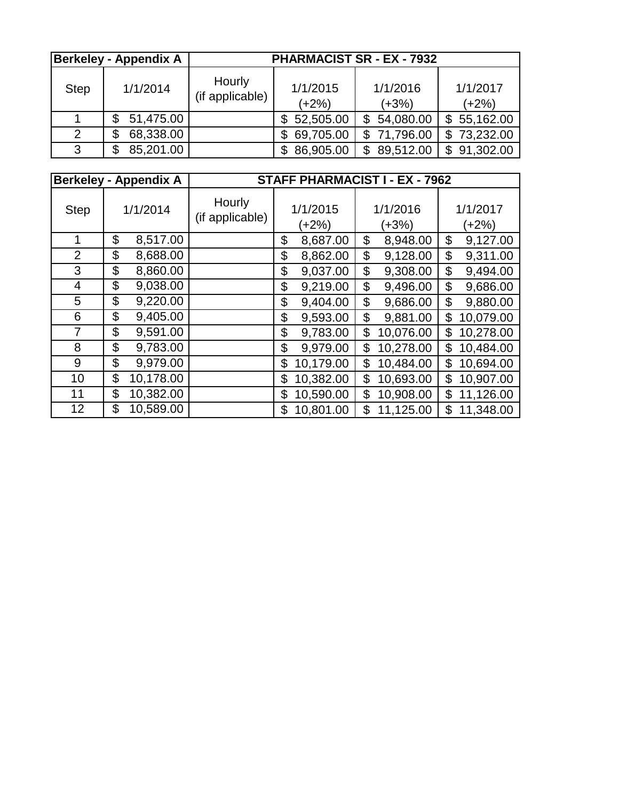|             | <b>Berkeley - Appendix A</b> | <b>PHARMACIST SR - EX - 7932</b> |                  |                           |                     |  |  |  |  |  |
|-------------|------------------------------|----------------------------------|------------------|---------------------------|---------------------|--|--|--|--|--|
| <b>Step</b> | 1/1/2014                     | Hourly<br>(if applicable)        |                  | 1/1/2016<br>$(+3%)$       | 1/1/2017<br>$(+2%)$ |  |  |  |  |  |
|             | 51,475.00<br>\$              |                                  | 52,505.00<br>\$  | 54,080.00<br>$\mathbb{S}$ | \$55,162.00         |  |  |  |  |  |
| 2           | 68,338.00<br>S               |                                  | 69,705.00<br>\$  | \$71,796.00               | \$73,232.00         |  |  |  |  |  |
| 3           | 85,201.00<br>\$              |                                  | 86,905.00<br>\$. | 89,512.00<br>\$           | 91,302.00<br>S      |  |  |  |  |  |

|                | <b>Berkeley - Appendix A</b> | <b>STAFF PHARMACIST I - EX - 7962</b> |    |                     |    |                   |    |                   |
|----------------|------------------------------|---------------------------------------|----|---------------------|----|-------------------|----|-------------------|
| <b>Step</b>    | 1/1/2014                     | Hourly<br>(if applicable)             |    | 1/1/2015<br>$(+2%)$ |    | 1/1/2016<br>(+3%) |    | 1/1/2017<br>(+2%) |
|                | \$<br>8,517.00               |                                       | \$ | 8,687.00            | \$ | 8,948.00          | \$ | 9,127.00          |
| $\overline{2}$ | \$<br>8,688.00               |                                       | \$ | 8,862.00            | \$ | 9,128.00          | \$ | 9,311.00          |
| 3              | \$<br>8,860.00               |                                       | \$ | 9,037.00            | \$ | 9,308.00          | \$ | 9,494.00          |
| $\overline{4}$ | \$<br>9,038.00               |                                       | \$ | 9,219.00            | \$ | 9,496.00          | \$ | 9,686.00          |
| 5              | \$<br>9,220.00               |                                       | \$ | 9,404.00            | \$ | 9,686.00          | \$ | 9,880.00          |
| 6              | \$<br>9,405.00               |                                       | \$ | 9,593.00            | \$ | 9,881.00          | \$ | 10,079.00         |
| $\overline{7}$ | \$<br>9,591.00               |                                       | \$ | 9,783.00            | \$ | 10,076.00         | \$ | 10,278.00         |
| 8              | \$<br>9,783.00               |                                       | \$ | 9,979.00            | \$ | 10,278.00         | \$ | 10,484.00         |
| 9              | \$<br>9,979.00               |                                       | \$ | 10,179.00           | \$ | 10,484.00         | \$ | 10,694.00         |
| 10             | \$<br>10,178.00              |                                       | \$ | 10,382.00           | \$ | 10,693.00         | \$ | 10,907.00         |
| 11             | \$<br>10,382.00              |                                       | \$ | 10,590.00           | \$ | 10,908.00         | \$ | 11,126.00         |
| 12             | \$<br>10,589.00              |                                       | \$ | 10,801.00           | \$ | 11,125.00         | \$ | 11,348.00         |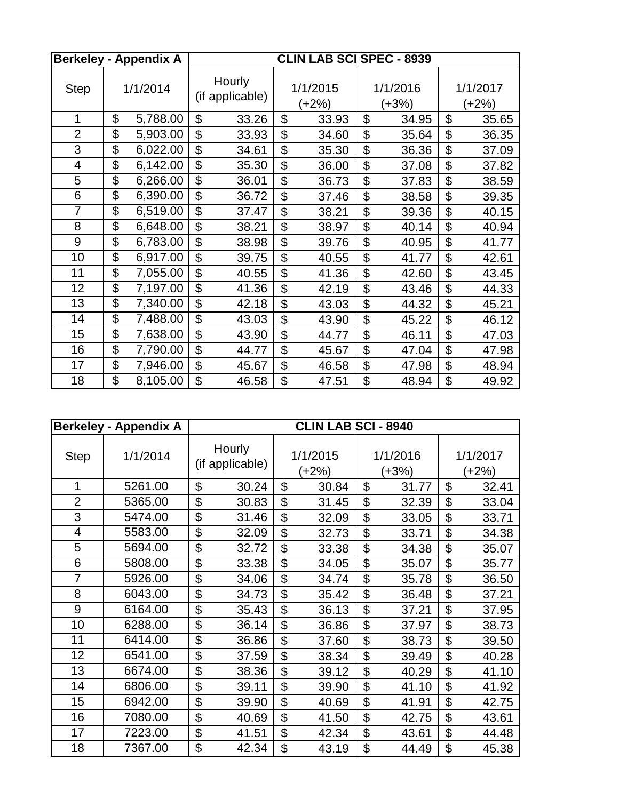|                | <b>Berkeley - Appendix A</b> | <b>CLIN LAB SCI SPEC - 8939</b> |       |                |                   |                           |                     |                           |       |
|----------------|------------------------------|---------------------------------|-------|----------------|-------------------|---------------------------|---------------------|---------------------------|-------|
| <b>Step</b>    | 1/1/2014                     | Hourly<br>(if applicable)       |       |                | 1/1/2015<br>(+2%) |                           | 1/1/2016<br>$(+3%)$ | 1/1/2017<br>(+2%)         |       |
| 1              | \$<br>5,788.00               | \$                              | 33.26 | \$             | 33.93             | \$                        | 34.95               | \$                        | 35.65 |
| $\overline{2}$ | \$<br>5,903.00               | \$                              | 33.93 | \$             | 34.60             | \$                        | 35.64               | \$                        | 36.35 |
| 3              | \$<br>6,022.00               | \$                              | 34.61 | $\mathfrak{L}$ | 35.30             | \$                        | 36.36               | \$                        | 37.09 |
| 4              | \$<br>6,142.00               | \$                              | 35.30 | $\mathfrak{L}$ | 36.00             | \$                        | 37.08               | \$                        | 37.82 |
| 5              | \$<br>6,266.00               | \$                              | 36.01 | \$             | 36.73             | \$                        | 37.83               | \$                        | 38.59 |
| 6              | \$<br>6,390.00               | \$                              | 36.72 | \$             | 37.46             | \$                        | 38.58               | \$                        | 39.35 |
| $\overline{7}$ | \$<br>6,519.00               | \$                              | 37.47 | \$             | 38.21             | \$                        | 39.36               | \$                        | 40.15 |
| 8              | \$<br>6,648.00               | \$                              | 38.21 | $\mathfrak{L}$ | 38.97             | \$                        | 40.14               | \$                        | 40.94 |
| 9              | \$<br>6,783.00               | \$                              | 38.98 | \$             | 39.76             | \$                        | 40.95               | \$                        | 41.77 |
| 10             | \$<br>6,917.00               | \$                              | 39.75 | \$             | 40.55             | \$                        | 41.77               | \$                        | 42.61 |
| 11             | \$<br>7,055.00               | \$                              | 40.55 | \$             | 41.36             | \$                        | 42.60               | \$                        | 43.45 |
| 12             | \$<br>7,197.00               | \$                              | 41.36 | \$             | 42.19             | \$                        | 43.46               | \$                        | 44.33 |
| 13             | \$<br>7,340.00               | \$                              | 42.18 | \$             | 43.03             | \$                        | 44.32               | \$                        | 45.21 |
| 14             | \$<br>7,488.00               | \$                              | 43.03 | \$             | 43.90             | \$                        | 45.22               | \$                        | 46.12 |
| 15             | \$<br>7,638.00               | \$                              | 43.90 | \$             | 44.77             | \$                        | 46.11               | \$                        | 47.03 |
| 16             | \$<br>7,790.00               | \$                              | 44.77 | \$             | 45.67             | $\boldsymbol{\mathsf{S}}$ | 47.04               | $\boldsymbol{\mathsf{S}}$ | 47.98 |
| 17             | \$<br>7,946.00               | \$                              | 45.67 | \$             | 46.58             | \$                        | 47.98               | \$                        | 48.94 |
| 18             | \$<br>8,105.00               | \$                              | 46.58 | \$             | 47.51             | \$                        | 48.94               | \$                        | 49.92 |

|                | Berkeley - Appendix A | <b>CLIN LAB SCI - 8940</b> |                           |                   |       |                     |       |    |       |                   |
|----------------|-----------------------|----------------------------|---------------------------|-------------------|-------|---------------------|-------|----|-------|-------------------|
| <b>Step</b>    | 1/1/2014              |                            | Hourly<br>(if applicable) | 1/1/2015<br>(+2%) |       | 1/1/2016<br>$(+3%)$ |       |    |       | 1/1/2017<br>(+2%) |
| 1              | 5261.00               | \$                         | 30.24                     | \$                | 30.84 | \$                  | 31.77 | \$ | 32.41 |                   |
| $\overline{2}$ | 5365.00               | \$                         | 30.83                     | \$                | 31.45 | \$                  | 32.39 | \$ | 33.04 |                   |
| 3              | 5474.00               | \$                         | 31.46                     | \$                | 32.09 | \$                  | 33.05 | \$ | 33.71 |                   |
| 4              | 5583.00               | \$                         | 32.09                     | \$                | 32.73 | \$                  | 33.71 | \$ | 34.38 |                   |
| 5              | 5694.00               | \$                         | 32.72                     | \$                | 33.38 | \$                  | 34.38 | \$ | 35.07 |                   |
| 6              | 5808.00               | \$                         | 33.38                     | \$                | 34.05 | \$                  | 35.07 | \$ | 35.77 |                   |
| $\overline{7}$ | 5926.00               | \$                         | 34.06                     | \$                | 34.74 | \$                  | 35.78 | \$ | 36.50 |                   |
| 8              | 6043.00               | \$                         | 34.73                     | \$                | 35.42 | \$                  | 36.48 | \$ | 37.21 |                   |
| 9              | 6164.00               | \$                         | 35.43                     | $\mathfrak{L}$    | 36.13 | \$                  | 37.21 | \$ | 37.95 |                   |
| 10             | 6288.00               | \$                         | 36.14                     | \$                | 36.86 | \$                  | 37.97 | \$ | 38.73 |                   |
| 11             | 6414.00               | \$                         | 36.86                     | \$                | 37.60 | \$                  | 38.73 | \$ | 39.50 |                   |
| 12             | 6541.00               | \$                         | 37.59                     | \$                | 38.34 | \$                  | 39.49 | \$ | 40.28 |                   |
| 13             | 6674.00               | \$                         | 38.36                     | \$                | 39.12 | \$                  | 40.29 | \$ | 41.10 |                   |
| 14             | 6806.00               | \$                         | 39.11                     | \$                | 39.90 | \$                  | 41.10 | \$ | 41.92 |                   |
| 15             | 6942.00               | \$                         | 39.90                     | \$                | 40.69 | \$                  | 41.91 | \$ | 42.75 |                   |
| 16             | 7080.00               | \$                         | 40.69                     | \$                | 41.50 | \$                  | 42.75 | \$ | 43.61 |                   |
| 17             | 7223.00               | \$                         | 41.51                     | \$                | 42.34 | \$                  | 43.61 | \$ | 44.48 |                   |
| 18             | 7367.00               | \$                         | 42.34                     | \$                | 43.19 | \$                  | 44.49 | \$ | 45.38 |                   |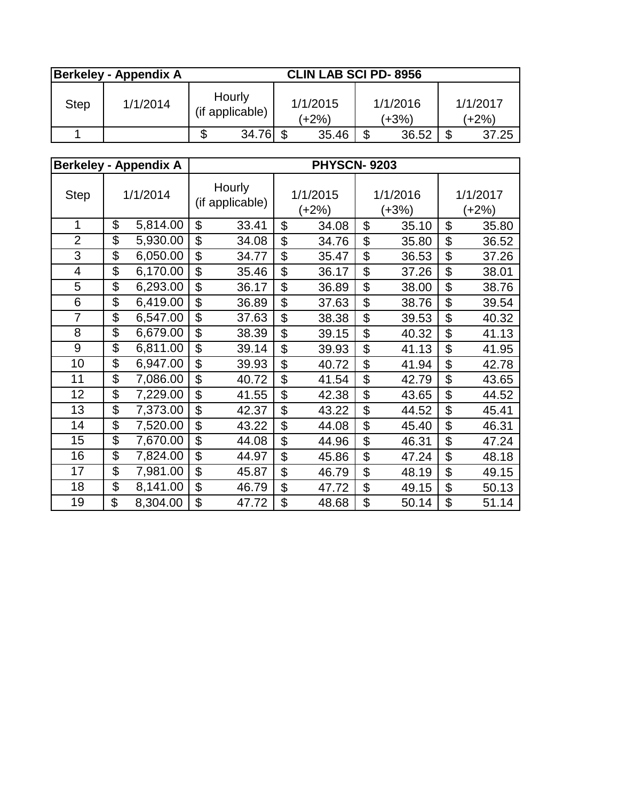|      | <b>Berkeley - Appendix A</b> | <b>CLIN LAB SCI PD-8956</b> |  |                   |    |                     |    |                     |  |  |
|------|------------------------------|-----------------------------|--|-------------------|----|---------------------|----|---------------------|--|--|
| Step | 1/1/2014                     | Hourly<br>(if applicable)   |  | 1/1/2015<br>(+2%) |    | 1/1/2016<br>$(+3%)$ |    | 1/1/2017<br>$(+2%)$ |  |  |
|      |                              | \$<br>34.76                 |  | 35.46             | \$ | 36.52               | \$ | 37.25               |  |  |

|                |                          | <b>Berkeley - Appendix A</b> | <b>PHYSCN-9203</b>        |       |                |                   |    |                   |                   |       |
|----------------|--------------------------|------------------------------|---------------------------|-------|----------------|-------------------|----|-------------------|-------------------|-------|
| <b>Step</b>    |                          | 1/1/2014                     | Hourly<br>(if applicable) |       |                | 1/1/2015<br>(+2%) |    | 1/1/2016<br>(+3%) | 1/1/2017<br>(+2%) |       |
| 1              | \$                       | 5,814.00                     | \$                        | 33.41 | $\mathfrak{L}$ | 34.08             | \$ | 35.10             | \$                | 35.80 |
| $\overline{2}$ | \$                       | 5,930.00                     | \$                        | 34.08 | \$             | 34.76             | \$ | 35.80             | \$                | 36.52 |
| 3              | \$                       | 6,050.00                     | \$                        | 34.77 | \$             | 35.47             | \$ | 36.53             | \$                | 37.26 |
| 4              | $\overline{\mathcal{G}}$ | 6,170.00                     | $\overline{\mathfrak{s}}$ | 35.46 | \$             | 36.17             | \$ | 37.26             | \$                | 38.01 |
| 5              | $\overline{\mathcal{G}}$ | 6,293.00                     | $\overline{\mathcal{S}}$  | 36.17 | \$             | 36.89             | \$ | 38.00             | \$                | 38.76 |
| 6              | $\overline{\mathcal{G}}$ | 6,419.00                     | \$                        | 36.89 | \$             | 37.63             | \$ | 38.76             | \$                | 39.54 |
| $\overline{7}$ | \$                       | 6,547.00                     | \$                        | 37.63 | \$             | 38.38             | \$ | 39.53             | \$                | 40.32 |
| 8              | \$                       | 6,679.00                     | \$                        | 38.39 | \$             | 39.15             | \$ | 40.32             | \$                | 41.13 |
| $\overline{9}$ | $\overline{\$}$          | 6,811.00                     | \$                        | 39.14 | \$             | 39.93             | \$ | 41.13             | \$                | 41.95 |
| 10             | \$                       | 6,947.00                     | \$                        | 39.93 | \$             | 40.72             | \$ | 41.94             | \$                | 42.78 |
| 11             | \$                       | 7,086.00                     | \$                        | 40.72 | \$             | 41.54             | \$ | 42.79             | \$                | 43.65 |
| 12             | $\overline{\mathcal{G}}$ | 7,229.00                     | \$                        | 41.55 | \$             | 42.38             | \$ | 43.65             | \$                | 44.52 |
| 13             | $\overline{\mathcal{G}}$ | 7,373.00                     | \$                        | 42.37 | \$             | 43.22             | \$ | 44.52             | \$                | 45.41 |
| 14             | \$                       | 7,520.00                     | \$                        | 43.22 | \$             | 44.08             | \$ | 45.40             | \$                | 46.31 |
| 15             | \$                       | 7,670.00                     | \$                        | 44.08 | \$             | 44.96             | \$ | 46.31             | \$                | 47.24 |
| 16             | $\overline{\mathcal{G}}$ | 7,824.00                     | \$                        | 44.97 | \$             | 45.86             | \$ | 47.24             | \$                | 48.18 |
| 17             | \$                       | 7,981.00                     | \$                        | 45.87 | \$             | 46.79             | \$ | 48.19             | \$                | 49.15 |
| 18             | \$                       | 8,141.00                     | \$                        | 46.79 | \$             | 47.72             | \$ | 49.15             | \$                | 50.13 |
| 19             | \$                       | 8,304.00                     | \$                        | 47.72 | \$             | 48.68             | \$ | 50.14             | \$                | 51.14 |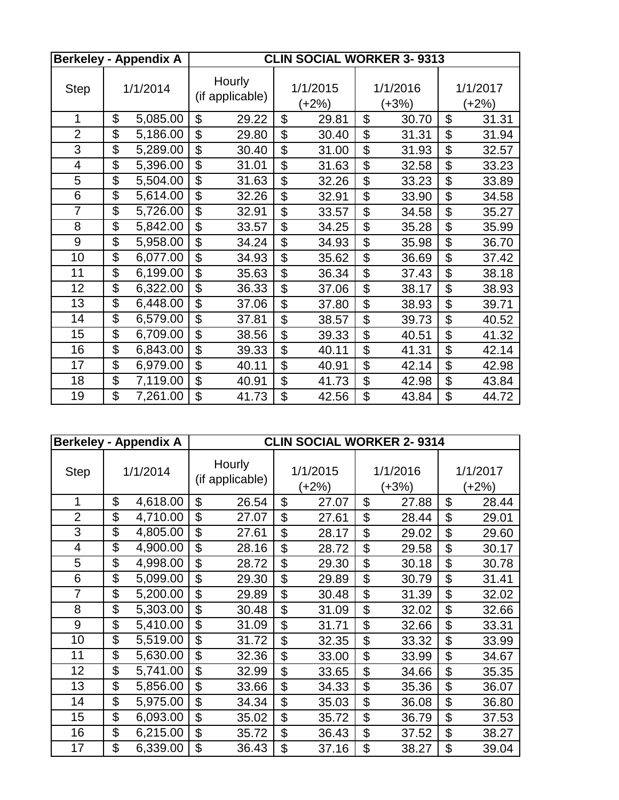|                |                           | <b>Berkeley - Appendix A</b> | <b>CLIN SOCIAL WORKER 3-9313</b> |       |    |                   |    |                     |    |                   |
|----------------|---------------------------|------------------------------|----------------------------------|-------|----|-------------------|----|---------------------|----|-------------------|
| <b>Step</b>    |                           | 1/1/2014                     | Hourly<br>(if applicable)        |       |    | 1/1/2015<br>(+2%) |    | 1/1/2016<br>$(+3%)$ |    | 1/1/2017<br>(+2%) |
| $\mathbf 1$    | \$                        | 5,085.00                     | \$                               | 29.22 | \$ | 29.81             | \$ | 30.70               | \$ | 31.31             |
| $\overline{2}$ | \$                        | 5,186.00                     | \$                               | 29.80 | \$ | 30.40             | \$ | 31.31               | \$ | 31.94             |
| 3              | $\overline{\mathfrak{s}}$ | 5,289.00                     | \$                               | 30.40 | \$ | 31.00             | \$ | 31.93               | \$ | 32.57             |
| $\overline{4}$ | $\overline{\mathcal{G}}$  | 5,396.00                     | \$                               | 31.01 | \$ | 31.63             | \$ | 32.58               | \$ | 33.23             |
| 5              | \$                        | 5,504.00                     | \$                               | 31.63 | \$ | 32.26             | \$ | 33.23               | \$ | 33.89             |
| 6              | \$                        | 5,614.00                     | \$                               | 32.26 | \$ | 32.91             | \$ | 33.90               | \$ | 34.58             |
| $\overline{7}$ | $\overline{\mathcal{G}}$  | 5,726.00                     | \$                               | 32.91 | \$ | 33.57             | \$ | 34.58               | \$ | 35.27             |
| 8              | $\overline{\mathfrak{s}}$ | 5,842.00                     | $\overline{\mathfrak{s}}$        | 33.57 | \$ | 34.25             | \$ | 35.28               | \$ | 35.99             |
| 9              | \$                        | 5,958.00                     | \$                               | 34.24 | \$ | 34.93             | \$ | 35.98               | \$ | 36.70             |
| 10             | \$                        | 6,077.00                     | \$                               | 34.93 | \$ | 35.62             | \$ | 36.69               | \$ | 37.42             |
| 11             | \$                        | 6,199.00                     | $\overline{\mathfrak{s}}$        | 35.63 | \$ | 36.34             | \$ | 37.43               | \$ | 38.18             |
| 12             | \$                        | 6,322.00                     | \$                               | 36.33 | \$ | 37.06             | \$ | 38.17               | \$ | 38.93             |
| 13             | $\overline{\mathcal{G}}$  | 6,448.00                     | \$                               | 37.06 | \$ | 37.80             | \$ | 38.93               | \$ | 39.71             |
| 14             | \$                        | 6,579.00                     | \$                               | 37.81 | \$ | 38.57             | \$ | 39.73               | \$ | 40.52             |
| 15             | \$                        | 6,709.00                     | \$                               | 38.56 | \$ | 39.33             | \$ | 40.51               | \$ | 41.32             |
| 16             | \$                        | 6,843.00                     | \$                               | 39.33 | \$ | 40.11             | \$ | 41.31               | \$ | 42.14             |
| 17             | \$                        | 6,979.00                     | \$                               | 40.11 | \$ | 40.91             | \$ | 42.14               | \$ | 42.98             |
| 18             | \$                        | 7,119.00                     | \$                               | 40.91 | \$ | 41.73             | \$ | 42.98               | \$ | 43.84             |
| 19             | \$                        | 7,261.00                     | \$                               | 41.73 | \$ | 42.56             | \$ | 43.84               | \$ | 44.72             |

|                | <b>Berkeley - Appendix A</b> | <b>CLIN SOCIAL WORKER 2-9314</b> |                           |                |                   |    |                   |    |                     |
|----------------|------------------------------|----------------------------------|---------------------------|----------------|-------------------|----|-------------------|----|---------------------|
| <b>Step</b>    | 1/1/2014                     |                                  | Hourly<br>(if applicable) |                | 1/1/2015<br>(+2%) |    | 1/1/2016<br>(+3%) |    | 1/1/2017<br>$(+2%)$ |
| 1              | \$<br>4,618.00               | \$                               | 26.54                     | \$             | 27.07             | \$ | 27.88             | \$ | 28.44               |
| $\overline{2}$ | \$<br>4,710.00               | \$                               | 27.07                     | \$             | 27.61             | \$ | 28.44             | \$ | 29.01               |
| 3              | \$<br>4,805.00               | \$                               | 27.61                     | \$             | 28.17             | \$ | 29.02             | \$ | 29.60               |
| 4              | \$<br>4,900.00               | \$                               | 28.16                     | \$             | 28.72             | \$ | 29.58             | \$ | 30.17               |
| 5              | \$<br>4,998.00               | \$                               | 28.72                     | \$             | 29.30             | \$ | 30.18             | \$ | 30.78               |
| 6              | \$<br>5,099.00               | \$                               | 29.30                     | \$             | 29.89             | \$ | 30.79             | \$ | 31.41               |
| $\overline{7}$ | \$<br>5,200.00               | \$                               | 29.89                     | \$             | 30.48             | \$ | 31.39             | \$ | 32.02               |
| 8              | \$<br>5,303.00               | \$                               | 30.48                     | \$             | 31.09             | \$ | 32.02             | \$ | 32.66               |
| 9              | \$<br>5,410.00               | \$                               | 31.09                     | $\mathfrak{L}$ | 31.71             | \$ | 32.66             | \$ | 33.31               |
| 10             | \$<br>5,519.00               | \$                               | 31.72                     | \$             | 32.35             | \$ | 33.32             | \$ | 33.99               |
| 11             | \$<br>5,630.00               | \$                               | 32.36                     | \$             | 33.00             | \$ | 33.99             | \$ | 34.67               |
| 12             | \$<br>5,741.00               | \$                               | 32.99                     | \$             | 33.65             | \$ | 34.66             | \$ | 35.35               |
| 13             | \$<br>5,856.00               | \$                               | 33.66                     | \$             | 34.33             | \$ | 35.36             | \$ | 36.07               |
| 14             | \$<br>5,975.00               | \$                               | 34.34                     | \$             | 35.03             | \$ | 36.08             | \$ | 36.80               |
| 15             | \$<br>6,093.00               | \$                               | 35.02                     | \$             | 35.72             | \$ | 36.79             | \$ | 37.53               |
| 16             | \$<br>6,215.00               | \$                               | 35.72                     | \$             | 36.43             | \$ | 37.52             | \$ | 38.27               |
| 17             | \$<br>6,339.00               | \$                               | 36.43                     | \$             | 37.16             | \$ | 38.27             | \$ | 39.04               |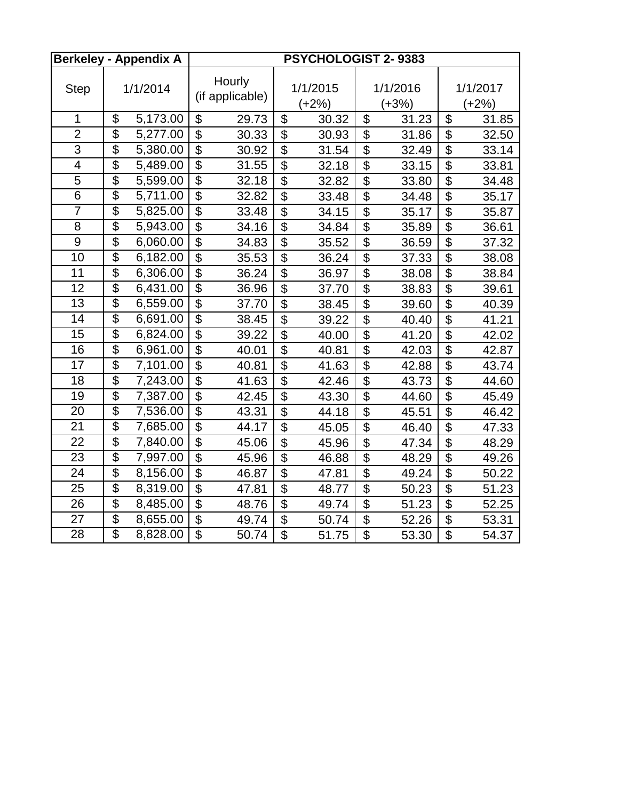|                 |                 | <b>Berkeley - Appendix A</b> | PSYCHOLOGIST 2-9383       |                           |                           |                     |                           |                     |                           |                   |
|-----------------|-----------------|------------------------------|---------------------------|---------------------------|---------------------------|---------------------|---------------------------|---------------------|---------------------------|-------------------|
| <b>Step</b>     |                 | 1/1/2014                     |                           | Hourly<br>(if applicable) |                           | 1/1/2015<br>$(+2%)$ |                           | 1/1/2016<br>$(+3%)$ |                           | 1/1/2017<br>(+2%) |
| 1               | \$              | 5,173.00                     | \$                        | 29.73                     | \$                        | 30.32               | \$                        | 31.23               | $\boldsymbol{\mathsf{S}}$ | 31.85             |
| $\overline{2}$  | $\overline{\$}$ | 5,277.00                     | $\overline{\$}$           | 30.33                     | $\mathfrak{L}$            | 30.93               | \$                        | 31.86               | \$                        | 32.50             |
| $\overline{3}$  | $\overline{\$}$ | 5,380.00                     | $\overline{\$}$           | 30.92                     | $\overline{\mathbb{S}}$   | 31.54               | $\overline{\mathbf{S}}$   | 32.49               | $\overline{\mathcal{S}}$  | 33.14             |
| 4               | $\overline{\$}$ | 5,489.00                     | \$                        | 31.55                     | $\boldsymbol{\mathsf{S}}$ | 32.18               | \$                        | 33.15               | \$                        | 33.81             |
| $\overline{5}$  | $\overline{\$}$ | 5,599.00                     | $\overline{\$}$           | 32.18                     | $\overline{\mathcal{S}}$  | 32.82               | $\overline{\mathcal{G}}$  | 33.80               | $\overline{\mathcal{S}}$  | 34.48             |
| 6               | $\overline{\$}$ | 5,711.00                     | $\overline{\$}$           | 32.82                     | $\overline{\$}$           | 33.48               | \$                        | 34.48               | \$                        | 35.17             |
| $\overline{7}$  | $\overline{\$}$ | 5,825.00                     | \$                        | 33.48                     | $\boldsymbol{\mathsf{S}}$ | 34.15               | $\boldsymbol{\mathsf{S}}$ | 35.17               | $\boldsymbol{\mathsf{S}}$ | 35.87             |
| 8               | $\overline{\$}$ | 5,943.00                     | $\overline{\$}$           | 34.16                     | $\overline{\mathcal{S}}$  | 34.84               | $\overline{\mathfrak{s}}$ | 35.89               | $\overline{\mathcal{S}}$  | 36.61             |
| 9               | $\overline{\$}$ | 6,060.00                     | $\overline{\$}$           | 34.83                     | \$                        | 35.52               | \$                        | 36.59               | \$                        | 37.32             |
| 10              | $\overline{\$}$ | 6,182.00                     | $\overline{\mathfrak{s}}$ | 35.53                     | \$                        | 36.24               | \$                        | 37.33               | \$                        | 38.08             |
| $\overline{11}$ | $\overline{\$}$ | 6,306.00                     | $\overline{\$}$           | 36.24                     | $\overline{\$}$           | 36.97               | $\overline{\$}$           | 38.08               | $\overline{\$}$           | 38.84             |
| 12              | $\overline{\$}$ | 6,431.00                     | $\overline{\mathfrak{s}}$ | 36.96                     | \$                        | 37.70               | \$                        | 38.83               | \$                        | 39.61             |
| 13              | $\overline{\$}$ | 6,559.00                     | \$                        | 37.70                     | \$                        | 38.45               | $\boldsymbol{\theta}$     | 39.60               | $\boldsymbol{\mathsf{S}}$ | 40.39             |
| 14              | $\overline{\$}$ | 6,691.00                     | $\overline{\$}$           | 38.45                     | $\overline{\$}$           | 39.22               | $\overline{\$}$           | 40.40               | $\overline{\$}$           | 41.21             |
| 15              | $\overline{\$}$ | 6,824.00                     | $\overline{\mathfrak{s}}$ | 39.22                     | \$                        | 40.00               | \$                        | 41.20               | \$                        | 42.02             |
| 16              | $\overline{\$}$ | 6,961.00                     | $\overline{\mathfrak{s}}$ | 40.01                     | $\overline{\mathcal{S}}$  | 40.81               | $\overline{\mathbf{S}}$   | 42.03               | $\overline{\mathcal{S}}$  | 42.87             |
| 17              | $\overline{\$}$ | 7,101.00                     | $\overline{\mathfrak{s}}$ | 40.81                     | $\overline{\mathfrak{s}}$ | 41.63               | $\overline{\mathbf{S}}$   | 42.88               | \$                        | 43.74             |
| 18              | $\overline{\$}$ | 7,243.00                     | \$                        | 41.63                     | $\boldsymbol{\mathsf{S}}$ | 42.46               | $\overline{\mathfrak{s}}$ | 43.73               | \$                        | 44.60             |
| 19              | $\overline{\$}$ | 7,387.00                     | $\overline{\$}$           | 42.45                     | $\overline{\mathcal{S}}$  | 43.30               | $\overline{\mathbf{e}}$   | 44.60               | $\boldsymbol{\mathsf{S}}$ | 45.49             |
| 20              | $\overline{\$}$ | 7,536.00                     | $\overline{\$}$           | 43.31                     | $\overline{\$}$           | 44.18               | $\overline{\$}$           | 45.51               | $\overline{\mathcal{S}}$  | 46.42             |
| 21              | $\overline{\$}$ | 7,685.00                     | \$                        | 44.17                     | $\boldsymbol{\mathsf{S}}$ | 45.05               | \$                        | 46.40               | \$                        | 47.33             |
| 22              | $\overline{\$}$ | 7,840.00                     | $\overline{\$}$           | 45.06                     | $\overline{\$}$           | 45.96               | $\overline{\$}$           | 47.34               | $\overline{\$}$           | 48.29             |
| 23              | $\overline{\$}$ | 7,997.00                     | $\overline{\mathfrak{s}}$ | 45.96                     | \$                        | 46.88               | \$                        | 48.29               | \$                        | 49.26             |
| 24              | $\overline{\$}$ | 8,156.00                     | \$                        | 46.87                     | $\overline{\mathcal{S}}$  | 47.81               | $\overline{\mathfrak{s}}$ | 49.24               | \$                        | 50.22             |
| 25              | $\overline{\$}$ | 8,319.00                     | $\overline{\$}$           | 47.81                     | $\overline{\mathcal{S}}$  | 48.77               | $\overline{\mathbf{e}}$   | 50.23               | $\boldsymbol{\mathsf{S}}$ | 51.23             |
| 26              | $\overline{\$}$ | 8,485.00                     | $\overline{\$}$           | 48.76                     | $\overline{\mathcal{S}}$  | 49.74               | $\overline{\mathbf{S}}$   | 51.23               | $\overline{\mathcal{G}}$  | 52.25             |
| 27              | $\overline{\$}$ | 8,655.00                     | \$                        | 49.74                     | $\overline{\mathcal{S}}$  | 50.74               | $\overline{\mathbf{S}}$   | 52.26               | $\boldsymbol{\mathsf{S}}$ | 53.31             |
| 28              | $\overline{\$}$ | 8,828.00                     | $\overline{\$}$           | 50.74                     | $\overline{\mathcal{S}}$  | 51.75               | $\overline{\mathcal{S}}$  | 53.30               | \$                        | 54.37             |